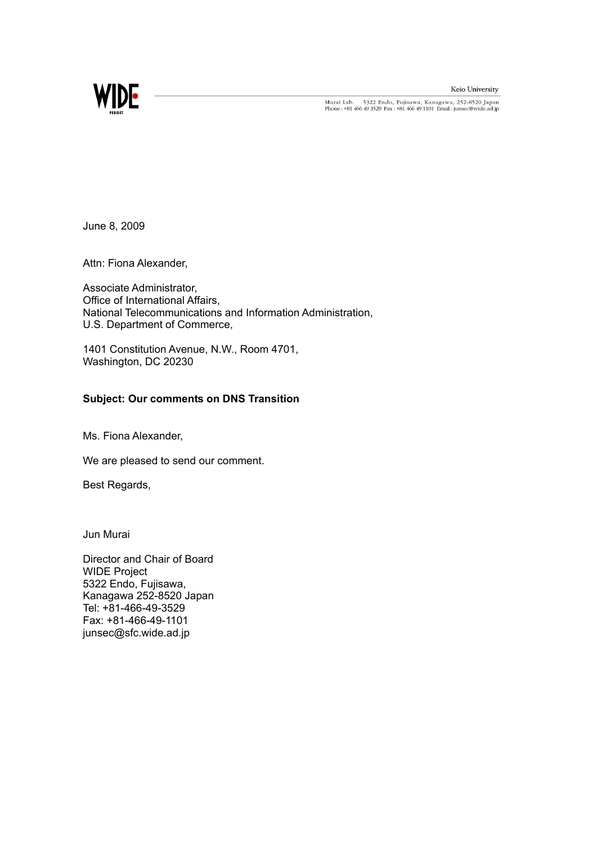Keio University



Murai Lab. 5322 Endo, Fujisawa, Kanagawa, 252-8520 Japan<br>Phone : +81 466 49 3529 Fax : +81 466 49 1101 Email : junsec@wide.ad.jp

June 8, 2009

Attn: Fiona Alexander,

Associate Administrator, Office of International Affairs, National Telecommunications and Information Administration, U.S. Department of Commerce,

1401 Constitution Avenue, N.W., Room 4701, Washington, DC 20230

## **Subject: Our comments on DNS Transition**

Ms. Fiona Alexander,

We are pleased to send our comment.

Best Regards,

Jun Murai

Director and Chair of Board WIDE Project 5322 Endo, Fujisawa, Kanagawa 252-8520 Japan Tel: +81-466-49-3529 Fax: +81-466-49-1101 junsec@sfc.wide.ad.jp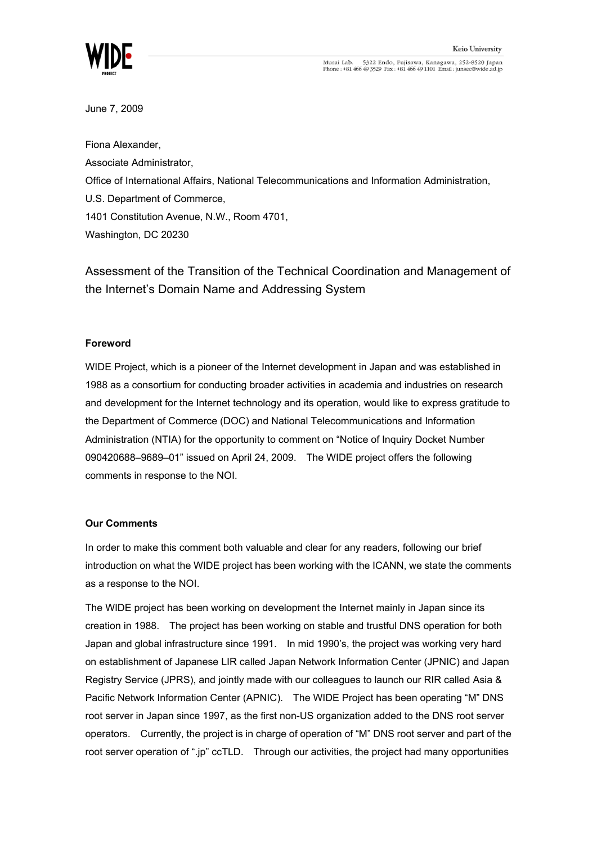

Murai Lab. 5322 Endo, Fujisawa, Kanagawa, 252-8520 Japan<br>Phone : +81 466 49 3529 Fax : +81 466 49 1101 Email : junsec@wide.ad.jp

June 7, 2009

Fiona Alexander, Associate Administrator, Office of International Affairs, National Telecommunications and Information Administration, U.S. Department of Commerce, 1401 Constitution Avenue, N.W., Room 4701, Washington, DC 20230

Assessment of the Transition of the Technical Coordination and Management of the Internet's Domain Name and Addressing System

## **Foreword**

WIDE Project, which is a pioneer of the Internet development in Japan and was established in 1988 as a consortium for conducting broader activities in academia and industries on research and development for the Internet technology and its operation, would like to express gratitude to the Department of Commerce (DOC) and National Telecommunications and Information Administration (NTIA) for the opportunity to comment on "Notice of Inquiry Docket Number 090420688–9689–01" issued on April 24, 2009. The WIDE project offers the following comments in response to the NOI.

## **Our Comments**

In order to make this comment both valuable and clear for any readers, following our brief introduction on what the WIDE project has been working with the ICANN, we state the comments as a response to the NOI.

The WIDE project has been working on development the Internet mainly in Japan since its creation in 1988. The project has been working on stable and trustful DNS operation for both Japan and global infrastructure since 1991. In mid 1990's, the project was working very hard on establishment of Japanese LIR called Japan Network Information Center (JPNIC) and Japan Registry Service (JPRS), and jointly made with our colleagues to launch our RIR called Asia & Pacific Network Information Center (APNIC). The WIDE Project has been operating "M" DNS root server in Japan since 1997, as the first non-US organization added to the DNS root server operators. Currently, the project is in charge of operation of "M" DNS root server and part of the root server operation of ".jp" ccTLD. Through our activities, the project had many opportunities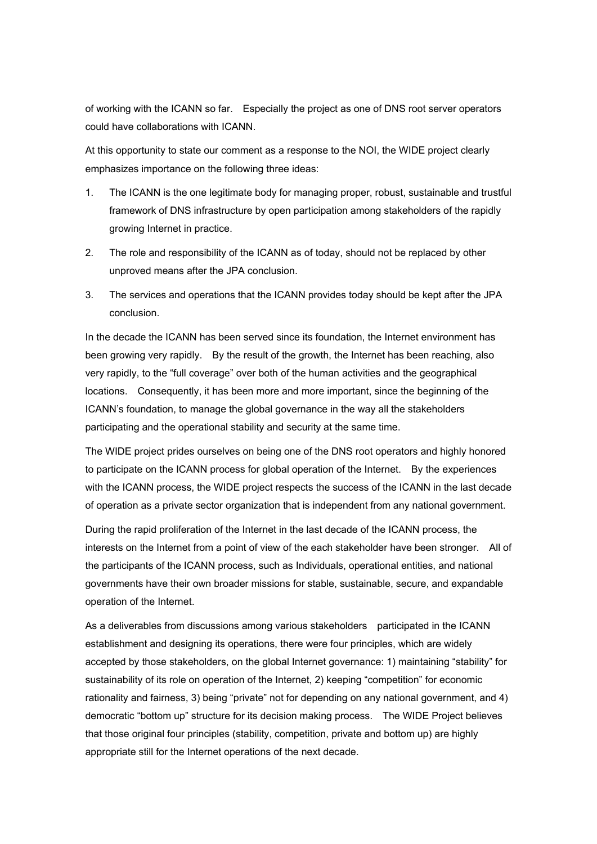of working with the ICANN so far. Especially the project as one of DNS root server operators could have collaborations with ICANN.

At this opportunity to state our comment as a response to the NOI, the WIDE project clearly emphasizes importance on the following three ideas:

- 1. The ICANN is the one legitimate body for managing proper, robust, sustainable and trustful framework of DNS infrastructure by open participation among stakeholders of the rapidly growing Internet in practice.
- 2. The role and responsibility of the ICANN as of today, should not be replaced by other unproved means after the JPA conclusion.
- 3. The services and operations that the ICANN provides today should be kept after the JPA conclusion.

In the decade the ICANN has been served since its foundation, the Internet environment has been growing very rapidly. By the result of the growth, the Internet has been reaching, also very rapidly, to the "full coverage" over both of the human activities and the geographical locations. Consequently, it has been more and more important, since the beginning of the ICANN's foundation, to manage the global governance in the way all the stakeholders participating and the operational stability and security at the same time.

The WIDE project prides ourselves on being one of the DNS root operators and highly honored to participate on the ICANN process for global operation of the Internet. By the experiences with the ICANN process, the WIDE project respects the success of the ICANN in the last decade of operation as a private sector organization that is independent from any national government.

During the rapid proliferation of the Internet in the last decade of the ICANN process, the interests on the Internet from a point of view of the each stakeholder have been stronger. All of the participants of the ICANN process, such as Individuals, operational entities, and national governments have their own broader missions for stable, sustainable, secure, and expandable operation of the Internet.

As a deliverables from discussions among various stakeholders participated in the ICANN establishment and designing its operations, there were four principles, which are widely accepted by those stakeholders, on the global Internet governance: 1) maintaining "stability" for sustainability of its role on operation of the Internet, 2) keeping "competition" for economic rationality and fairness, 3) being "private" not for depending on any national government, and 4) democratic "bottom up" structure for its decision making process. The WIDE Project believes that those original four principles (stability, competition, private and bottom up) are highly appropriate still for the Internet operations of the next decade.